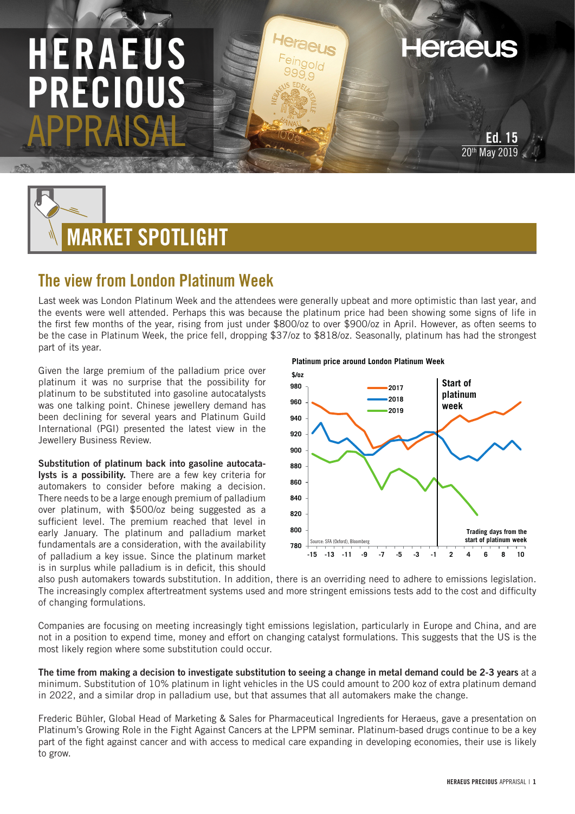# HERAEUS PRECIOUS APPRAISAL



## The view from London Platinum Week

Last week was London Platinum Week and the attendees were generally upbeat and more optimistic than last year, and the events were well attended. Perhaps this was because the platinum price had been showing some signs of life in the first few months of the year, rising from just under \$800/oz to over \$900/oz in April. However, as often seems to be the case in Platinum Week, the price fell, dropping \$37/oz to \$818/oz. Seasonally, platinum has had the strongest part of its year.

Given the large premium of the palladium price over platinum it was no surprise that the possibility for platinum to be substituted into gasoline autocatalysts was one talking point. Chinese jewellery demand has been declining for several years and Platinum Guild International (PGI) presented the latest view in the Jewellery Business Review.

Substitution of platinum back into gasoline autocatalysts is a possibility. There are a few key criteria for automakers to consider before making a decision. There needs to be a large enough premium of palladium over platinum, with \$500/oz being suggested as a sufficient level. The premium reached that level in early January. The platinum and palladium market fundamentals are a consideration, with the availability of palladium a key issue. Since the platinum market is in surplus while palladium is in deficit, this should

#### **Platinum price around London Platinum Week**



also push automakers towards substitution. In addition, there is an overriding need to adhere to emissions legislation. The increasingly complex aftertreatment systems used and more stringent emissions tests add to the cost and difficulty of changing formulations.

Companies are focusing on meeting increasingly tight emissions legislation, particularly in Europe and China, and are not in a position to expend time, money and effort on changing catalyst formulations. This suggests that the US is the most likely region where some substitution could occur.

The time from making a decision to investigate substitution to seeing a change in metal demand could be 2-3 years at a minimum. Substitution of 10% platinum in light vehicles in the US could amount to 200 koz of extra platinum demand in 2022, and a similar drop in palladium use, but that assumes that all automakers make the change.

Frederic Bühler, Global Head of Marketing & Sales for Pharmaceutical Ingredients for Heraeus, gave a presentation on Platinum's Growing Role in the Fight Against Cancers at the LPPM seminar. Platinum-based drugs continue to be a key part of the fight against cancer and with access to medical care expanding in developing economies, their use is likely to grow.

Ed. 15 **May 2019** 

**Heraeus**